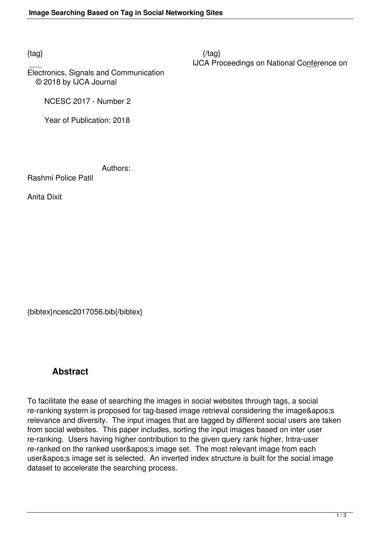Electronics, Signals and Communication © 2018 by IJCA Journal

NCESC 2017 - Number 2

Year of Publication: 2018

Authors:

Rashmi Police Patil

Anita Dixit

{bibtex}ncesc2017056.bib{/bibtex}

## **Abstract**

To facilitate the ease of searching the images in social websites through tags, a social re-ranking system is proposed for tag-based image retrieval considering the image's relevance and diversity. The input images that are tagged by different social users are taken from social websites. This paper includes, sorting the input images based on inter user re-ranking. Users having higher contribution to the given query rank higher, Intra-user re-ranked on the ranked user' image set. The most relevant image from each user' image set is selected. An inverted index structure is built for the social image dataset to accelerate the searching process.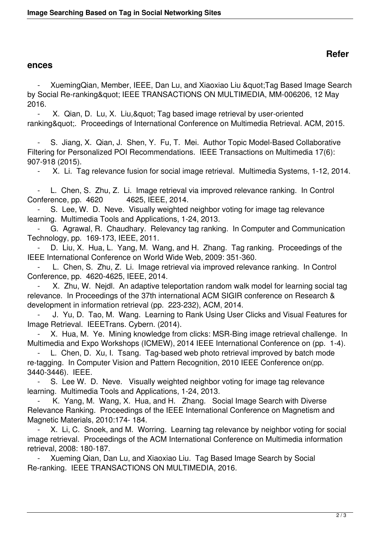## **ences**

XuemingQian, Member, IEEE, Dan Lu, and Xiaoxiao Liu & quot; Tag Based Image Search by Social Re-ranking & quot; IEEE TRANSACTIONS ON MULTIMEDIA, MM-006206, 12 May 2016.

X. Qian, D. Lu, X. Liu, & quot; Tag based image retrieval by user-oriented ranking". Proceedings of International Conference on Multimedia Retrieval. ACM, 2015.

S. Jiang, X. Qian, J. Shen, Y. Fu, T. Mei. Author Topic Model-Based Collaborative Filtering for Personalized POI Recommendations. IEEE Transactions on Multimedia 17(6): 907-918 (2015).

- X. Li. Tag relevance fusion for social image retrieval. Multimedia Systems, 1-12, 2014.

 - L. Chen, S. Zhu, Z. Li. Image retrieval via improved relevance ranking. In Control Conference, pp. 4620 4625, IEEE, 2014.

S. Lee, W. D. Neve. Visually weighted neighbor voting for image tag relevance learning. Multimedia Tools and Applications, 1-24, 2013.

 - G. Agrawal, R. Chaudhary. Relevancy tag ranking. In Computer and Communication Technology, pp. 169-173, IEEE, 2011.

D. Liu, X. Hua, L. Yang, M. Wang, and H. Zhang. Tag ranking. Proceedings of the IEEE International Conference on World Wide Web, 2009: 351-360.

 - L. Chen, S. Zhu, Z. Li. Image retrieval via improved relevance ranking. In Control Conference, pp. 4620-4625, IEEE, 2014.

X. Zhu, W. Nejdl. An adaptive teleportation random walk model for learning social tag relevance. In Proceedings of the 37th international ACM SIGIR conference on Research & development in information retrieval (pp. 223-232), ACM, 2014.

 - J. Yu, D. Tao, M. Wang. Learning to Rank Using User Clicks and Visual Features for Image Retrieval. IEEETrans. Cybern. (2014).

 - X. Hua, M. Ye. Mining knowledge from clicks: MSR-Bing image retrieval challenge. In Multimedia and Expo Workshops (ICMEW), 2014 IEEE International Conference on (pp. 1-4).

L. Chen, D. Xu, I. Tsang. Tag-based web photo retrieval improved by batch mode re-tagging. In Computer Vision and Pattern Recognition, 2010 IEEE Conference on(pp. 3440-3446). IEEE.

S. Lee W. D. Neve. Visually weighted neighbor voting for image tag relevance learning. Multimedia Tools and Applications, 1-24, 2013.

 - K. Yang, M. Wang, X. Hua, and H. Zhang. Social Image Search with Diverse Relevance Ranking. Proceedings of the IEEE International Conference on Magnetism and Magnetic Materials, 2010:174- 184.

X. Li, C. Snoek, and M. Worring. Learning tag relevance by neighbor voting for social image retrieval. Proceedings of the ACM International Conference on Multimedia information retrieval, 2008: 180-187.

 - Xueming Qian, Dan Lu, and Xiaoxiao Liu. Tag Based Image Search by Social Re-ranking. IEEE TRANSACTIONS ON MULTIMEDIA, 2016.

 $\frac{2}{3}$ 

## **Refer**